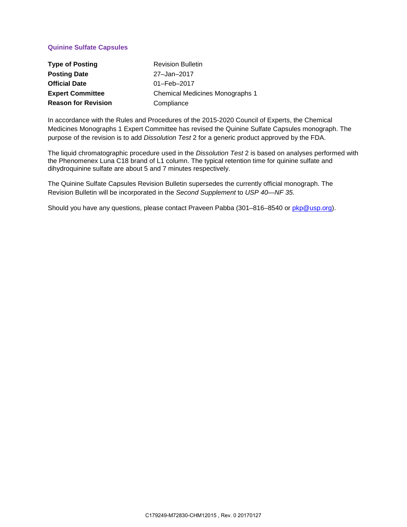## **Quinine Sulfate Capsules**

| <b>Type of Posting</b>     | <b>Revision Bulletin</b>        |
|----------------------------|---------------------------------|
| <b>Posting Date</b>        | 27-Jan-2017                     |
| <b>Official Date</b>       | $01 - \text{Feb} - 2017$        |
| <b>Expert Committee</b>    | Chemical Medicines Monographs 1 |
| <b>Reason for Revision</b> | Compliance                      |

In accordance with the Rules and Procedures of the 2015-2020 Council of Experts, the Chemical Medicines Monographs 1 Expert Committee has revised the Quinine Sulfate Capsules monograph. The purpose of the revision is to add *Dissolution Test* 2 for a generic product approved by the FDA.

The liquid chromatographic procedure used in the *Dissolution Test* 2 is based on analyses performed with the Phenomenex Luna C18 brand of L1 column. The typical retention time for quinine sulfate and dihydroquinine sulfate are about 5 and 7 minutes respectively.

The Quinine Sulfate Capsules Revision Bulletin supersedes the currently official monograph. The Revision Bulletin will be incorporated in the *Second Supplement* to *USP 40—NF 35*.

Should you have any questions, please contact Praveen Pabba (301–816–8540 or [pkp@usp.org\)](mailto:pkp@usp.org).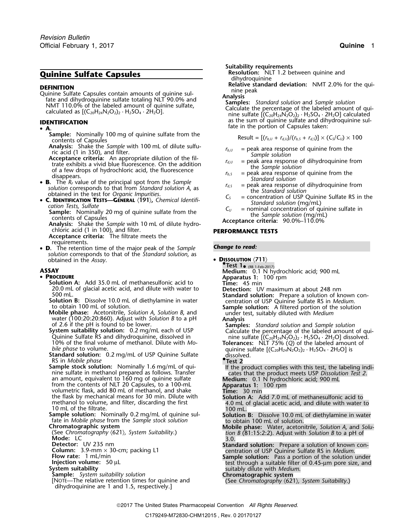# **Quinine Sulfate Capsules**

**DEFINITION**<br>
Quinine Sulfate Capsules contain amounts of quinine sul-<br>
fate and dihydroquinine sulfate totaling NLT 90.0% and<br>
NMT 110.0% of the labeled amount of quinine sulfate,<br>
calculate the percentage of the labeled

### **A.**

- **Sample:** Nominally 100 mg of quinine sulfate from the contents of Capsules<br>**Analysis:** Shake the *Sample* with 100 mL of dilute sulfu-
- 
- Figure 1.1 Straits a violence criteria: Acceptance criteria: An appropriate dilution of the fil-<br>
The straits a vivid blue fluorescence. On the addition<br>
of a few drops of hydrochloric acid, the fluorescence<br>
3. The  $R_F$
- **B**. **B.** The  $R_f$  value of the principal spot from the *sumple*<br>
solution corresponds to that from *Standard solution* A, as<br>
obtained in the test for *Organic Impurities*.<br> **C. DENTIFICATION TESTS—GENERAL (191),** Chemical Id
- 

cation Tests, Sulfate<br> **Sample:** Nominally 20 mg of quinine sulfate from the<br>
contents of Capsules<br>
Analysis: Shake the Sample with 10 mL of dilute hydro-<br>
Acceptance criteria: 90.0%-110.0%<br>
Acceptance criteria: 90.0%-110

chloric acid (1 in 100), and filter. **PERFORMANCE TESTS**

**Acceptance criteria:** The filtrate meets the requirements.

• **<sup>D</sup>** *Change to read:* **.** The retention time of the major peak of the *Sample solution* corresponds to that of the *Standard solution*, as obtained in the *Assay*. • **<sup>D</sup>ISSOLUTION** 〈**711**〉 **•**

- **PROCEDURE**
- **PROCEDURE Apparatus 1:** 100 rpm **Solution A:** Add 35.0 mL of methanesulfonic acid to **Time:** 45 min 20.0 mL of glacial acetic acid, and dilute with water to **Detection:** UV maximum at about 248 nm
	-
	-
	-

RS in *Mobile phase* **•.Test 2**

from the contents of NLT 20 Capsules, to a 100-mL **Apparatus 1:** 100 rpm volumetric flask, add 80 mL of methanol, and shake **Time:** 30 min the flask by mechanical means for 30 min. Dilute with **Solution A:** Add 7.0 mL of methanesulfonic acid to methanol to volume, and filter, discarding the first 4.0 mL of glacial acetic acid, and dilute with water to <sup>10</sup> mL of the filtrate. <sup>100</sup> mL.

- 
- 
- 
- 
- 
- 
- 

**Suitability requirements**

dihydroquinine<br>**Relative standard deviation:** NMT 2.0% for the qui-

**IDENTIFICATION**<br>**IDENTIFICATION IDENTIFICATION** as the sum of quinine sulfate and dihydroquinine sul-

$$
Result = [(r_{b,U} + r_{d,U})/(r_{b,S} + r_{d,S})] \times (C_S/C_U) \times 100
$$

- 
- 
- 
- 
- 
- 
- 

**.Test 1**• (RB 1-Feb-2017) **ASSAY Medium:** 0.1 N hydrochloric acid; 900 mL 500 mL.<br>
Standard solution: Prepare a solution of known con-<br>
standard solution: Prepare a solution of known con-<br>
to obtain 100 mL of solution.<br>
Mobile phase: Acetonitrile, Solution A, Solution B, and<br>
water (100:20:20:86 water (100:20:20:860). Adjust with Solution *B* to a pH<br>
of 2.6 if the pH is found to be lower.<br>
System suitability solution: 0.2 mg/mL each of USP<br>
Quinine Sulfate RS and dihydroquinine, dissolved in<br>
10% of the final vo **Sample stock solution:** Nominally 1.6 mg/mL of qui-<br>nine sulfate in methanol prepared as follows. Transfer<br>an amount, equivalent to 160 mg of quinine sulfate<br>**Medium:** 0.1 N hydrochloric acid; 900 mL **Sample solution:** Nominally 0.2 mg/mL of quinine sul-<br>
fate in *Mobile phase* from the *Sample stock solution*<br> **Chromatographic system**<br> **Chromatographic system**<br> **Chromatographic system**<br> **Chromatographic system Chromatographic system Mobile phase:** Water, acetonitrile, *Solution A*, and *Solu-* (See *Chromatography* 〈621〉*, System Suitability*.) *tion B* (81:15:2:2). Adjust with *Solution B* to a pH of **Mode:** LC 3.0. Detector: UV 235 nm<br>
Column: 3.9-mm × 30-cm; packing L1<br>
Flow rate: 1 mL/min<br>
Injection volume: 50 μL<br>
Sample solution: Pass a portion of the solution under<br>
Injection volume: 50 μL<br>
Sample solution: Pass a portion of the